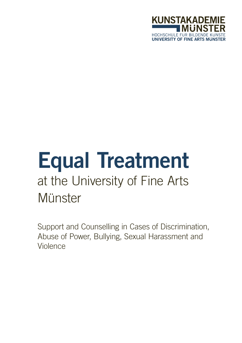

# Equal Treatment at the University of Fine Arts **Münster**

Support and Counselling in Cases of Discrimination, Abuse of Power, Bullying, Sexual Harassment and Violence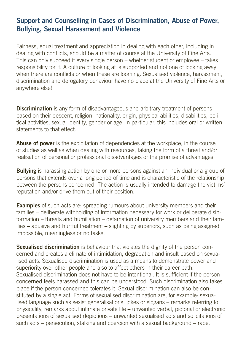## Support and Counselling in Cases of Discrimination, Abuse of Power, Bullying, Sexual Harassment and Violence

Fairness, equal treatment and appreciation in dealing with each other, including in dealing with conflicts, should be a matter of course at the University of Fine Arts. This can only succeed if every single person – whether student or employee – takes responsibility for it. A culture of looking at is supported and not one of looking away when there are conflicts or when these are looming. Sexualised violence, harassment, discrimination and derogatory behaviour have no place at the University of Fine Arts or anywhere else!

**Discrimination** is any form of disadvantageous and arbitrary treatment of persons based on their descent, religion, nationality, origin, physical abilities, disabilities, political activities, sexual identity, gender or age. In particular, this includes oral or written statements to that effect.

**Abuse of power** is the exploitation of dependencies at the workplace, in the course of studies as well as when dealing with resources, taking the form of a threat and/or realisation of personal or professional disadvantages or the promise of advantages.

**Bullying** is harassing action by one or more persons against an individual or a group of persons that extends over a long period of time and is characteristic of the relationship between the persons concerned. The action is usually intended to damage the victims' reputation and/or drive them out of their position.

**Examples** of such acts are: spreading rumours about university members and their families – deliberate withholding of information necessary for work or deliberate disinformation – threats and humiliation – defamation of university members and their families – abusive and hurtful treatment – slighting by superiors, such as being assigned impossible, meaningless or no tasks.

**Sexualised discrimination** is behaviour that violates the dignity of the person concerned and creates a climate of intimidation, degradation and insult based on sexualised acts. Sexualised discrimination is used as a means to demonstrate power and superiority over other people and also to affect others in their career path. Sexualised discrimination does not have to be intentional. It is sufficient if the person concerned feels harassed and this can be understood. Such discrimination also takes place if the person concerned tolerates it. Sexual discrimination can also be constituted by a single act. Forms of sexualised discrimination are, for example: sexualised language such as sexist generalisations, jokes or slogans – remarks referring to physicality, remarks about intimate private life – unwanted verbal, pictorial or electronic presentations of sexualised depictions – unwanted sexualised acts and solicitations of such acts – persecution, stalking and coercion with a sexual background – rape.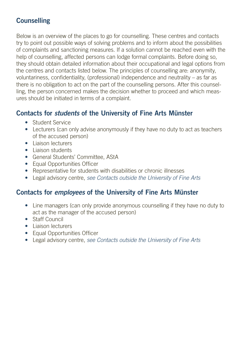# **Counselling**

Below is an overview of the places to go for counselling. These centres and contacts try to point out possible ways of solving problems and to inform about the possibilities of complaints and sanctioning measures. If a solution cannot be reached even with the help of counselling, affected persons can lodge formal complaints. Before doing so, they should obtain detailed information about their occupational and legal options from the centres and contacts listed below. The principles of counselling are: anonymity, voluntariness, confidentiality, (professional) independence and neutrality – as far as there is no obligation to act on the part of the counselling persons. After this counselling, the person concerned makes the decision whether to proceed and which measures should be initiated in terms of a complaint.

## Contacts for *students* of the University of Fine Arts Münster

- Student Service
- Lecturers (can only advise anonymously if they have no duty to act as teachers of the accused person)
- Liaison lecturers
- Liaison students
- General Students' Committee, AStA
- Equal Opportunities Officer
- Representative for students with disabilities or chronic illnesses
- Legal advisory centre, *see Contacts outside the University of Fine Arts*

## Contacts for *employees* of the University of Fine Arts Münster

- Line managers (can only provide anonymous counselling if they have no duty to act as the manager of the accused person)
- Staff Council
- Liaison lecturers
- Equal Opportunities Officer
- Legal advisory centre, *see Contacts outside the University of Fine Arts*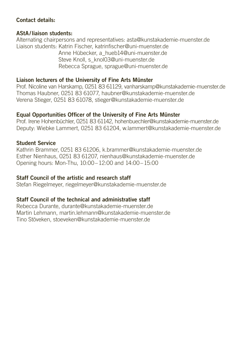## Contact details:

## AStA/liaison students:

Alternating chairpersons and representatives: asta@kunstakademie-muenster.de Liaison students: Katrin Fischer, katrinfischer@uni-muenster.de Anne Hübecker, a\_hueb14@uni-muenster.de Steve Knoll, s\_knol03@uni-muenster.de Rebecca Sprague, sprague@uni-muenster.de

## Liaison lecturers of the University of Fine Arts Münster

Prof. Nicoline van Harskamp, 0251 83 61129, vanharskamp@kunstakademie-muenster.de Thomas Haubner, 0251 83 61077, haubner@kunstakademie-muenster.de Verena Stieger, 0251 83 61078, stieger@kunstakademie-muenster.de

## Equal Opportunities Officer of the University of Fine Arts Münster

Prof. Irene Hohenbüchler, 0251 83 61142, hohenbuechler@kunstakademie-muenster.de Deputy: Wiebke Lammert, 0251 83 61204, w.lammert@kunstakademie-muenster.de

#### Student Service

Kathrin Brammer, 0251 83 61206, k.brammer@kunstakademie-muenster.de Esther Nienhaus, 0251 83 61207, nienhaus@kunstakademie-muenster.de Opening hours: Mon-Thu, 10:00–12:00 and 14:00–15:00

## Staff Council of the artistic and research staff

Stefan Riegelmeyer, riegelmeyer@kunstakademie-muenster.de

## Staff Council of the technical and administrative staff

Rebecca Durante, durante@kunstakademie-muenster.de Martin Lehmann, martin.lehmann@kunstakademie-muenster.de Tino Stöveken, stoeveken@kunstakademie-muenster.de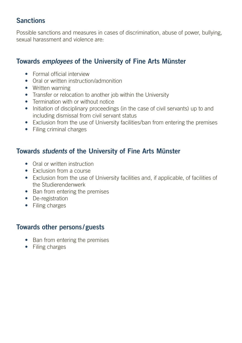## Sanctions

Possible sanctions and measures in cases of discrimination, abuse of power, bullying, sexual harassment and violence are:

# Towards *employees* of the University of Fine Arts Münster

- Formal official interview
- Oral or written instruction/admonition
- Written warning
- Transfer or relocation to another job within the University
- Termination with or without notice
- Initiation of disciplinary proceedings (in the case of civil servants) up to and including dismissal from civil servant status
- Exclusion from the use of University facilities/ban from entering the premises
- Filing criminal charges

## Towards *students* of the University of Fine Arts Münster

- Oral or written instruction
- Exclusion from a course
- Exclusion from the use of University facilities and, if applicable, of facilities of the Studierendenwerk
- Ban from entering the premises
- De-registration
- Filing charges

## Towards other persons / guests

- Ban from entering the premises
- Filing charges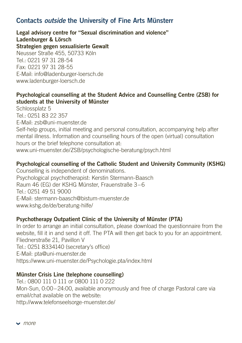## Contacts *outside* the University of Fine Arts Münsterr

Legal advisory centre for "Sexual discrimination and violence" Ladenburger & Lörsch Strategien gegen sexualisierte Gewalt Neusser Straße 455, 50733 Köln Tel.: 0221 97 31 28-54 Fax: 0221 97 31 28-55 E-Mail: info@ladenburger-loersch.de www.ladenburger-loersch.de

## Psychological counselling at the Student Advice and Counselling Centre (ZSB) for students at the University of Münster

Schlossplatz 5 Tel.: 0251 83 22 357 E-Mail: zsb@uni-muenster.de Self-help groups, initial meeting and personal consultation, accompanying help after mental illness. Information and counselling hours of the open (virtual) consultation hours or the brief telephone consultation at: www.uni-muenster.de/ZSB/psychologische-beratung/psych.html

## Psychological counselling of the Catholic Student and University Community (KSHG)

Counselling is independent of denominations. Psychological psychotherapist: Kerstin Stermann-Baasch Raum 46 (EG) der KSHG Münster, Frauenstraße 3–6 Tel.: 0251 49 51 9000 E-Mail: stermann-baasch@bistum-muenster.de www.kshg.de/de/beratung-hilfe/

## Psychotherapy Outpatient Clinic of the University of Münster (PTA)

In order to arrange an initial consultation, please download the questionnaire from the website, fill it in and send it off. The PTA will then get back to you for an appointment. Fliednerstraße 21, Pavillon V Tel.: 0251 8334140 (secretary's office) E-Mail: pta@uni-muenster.de https://www.uni-muenster.de/Psychologie.pta/index.html

#### Münster Crisis Line (telephone counselling)

Tel · 0800 111 0 111 or 0800 111 0 222 Mon-Sun, 0:00–24:00, available anonymously and free of charge Pastoral care via email/chat available on the website: http://www.telefonseelsorge-muenster.de/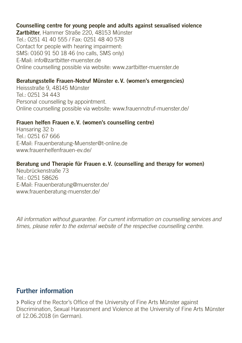#### Counselling centre for young people and adults against sexualised violence

Zartbitter, Hammer Straße 220, 48153 Münster Tel.: 0251 41 40 555 / Fax: 0251 48 40 578 Contact for people with hearing impairment: SMS: 0160 91 50 18 46 (no calls, SMS only) E-Mail: info@zartbitter-muenster.de Online counselling possible via website: www.zartbitter-muenster.de

#### Beratungsstelle Frauen-Notruf Münster e.V. (women's emergencies)

Heissstraße 9, 48145 Münster Tel.: 0251 34 443 Personal counselling by appointment. Online counselling possible via website: www.frauennotruf-muenster.de/

#### Frauen helfen Frauen e.V. (women's counselling centre)

Hansaring 32 b Tel.: 0251 67 666 E-Mail: Frauenberatung-Muenster@t-online.de www.frauenhelfenfrauen-ev.de/

#### Beratung und Therapie für Frauen e.V. (counselling and therapy for women)

Neubrückenstraße 73 Tel.: 0251 58626 E-Mail: Frauenberatung@muenster.de/ www.frauenberatung-muenster.de/

*All information without guarantee. For current information on counselling services and times, please refer to the external website of the respective counselling centre.* 

## Further information

Policy of the Rector's Office of the University of Fine Arts Münster against Discrimination, Sexual Harassment and Violence at the University of Fine Arts Münster of 12.06.2018 (in German).